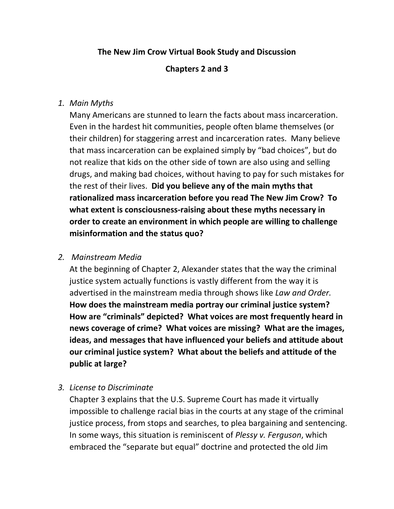# **The New Jim Crow Virtual Book Study and Discussion**

## **Chapters 2 and 3**

## *1. Main Myths*

Many Americans are stunned to learn the facts about mass incarceration. Even in the hardest hit communities, people often blame themselves (or their children) for staggering arrest and incarceration rates. Many believe that mass incarceration can be explained simply by "bad choices", but do not realize that kids on the other side of town are also using and selling drugs, and making bad choices, without having to pay for such mistakes for the rest of their lives. **Did you believe any of the main myths that rationalized mass incarceration before you read The New Jim Crow? To what extent is consciousness-raising about these myths necessary in order to create an environment in which people are willing to challenge misinformation and the status quo?**

## *2. Mainstream Media*

At the beginning of Chapter 2, Alexander states that the way the criminal justice system actually functions is vastly different from the way it is advertised in the mainstream media through shows like *Law and Order.* **How does the mainstream media portray our criminal justice system? How are "criminals" depicted? What voices are most frequently heard in news coverage of crime? What voices are missing? What are the images, ideas, and messages that have influenced your beliefs and attitude about our criminal justice system? What about the beliefs and attitude of the public at large?**

#### *3. License to Discriminate*

Chapter 3 explains that the U.S. Supreme Court has made it virtually impossible to challenge racial bias in the courts at any stage of the criminal justice process, from stops and searches, to plea bargaining and sentencing. In some ways, this situation is reminiscent of *Plessy v. Ferguson*, which embraced the "separate but equal" doctrine and protected the old Jim